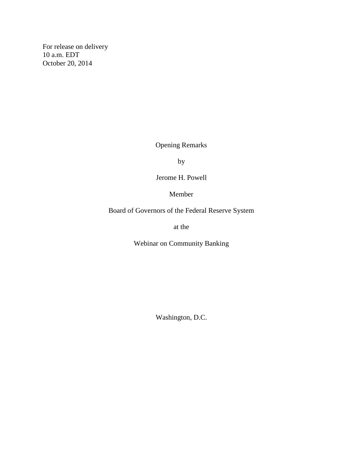For release on delivery 10 a.m. EDT October 20, 2014

Opening Remarks

by

Jerome H. Powell

Member

Board of Governors of the Federal Reserve System

at the

Webinar on Community Banking

Washington, D.C.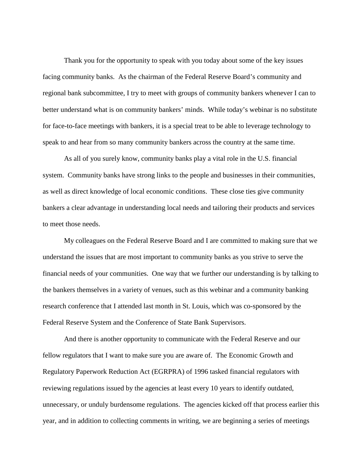Thank you for the opportunity to speak with you today about some of the key issues facing community banks. As the chairman of the Federal Reserve Board's community and regional bank subcommittee, I try to meet with groups of community bankers whenever I can to better understand what is on community bankers' minds. While today's webinar is no substitute for face-to-face meetings with bankers, it is a special treat to be able to leverage technology to speak to and hear from so many community bankers across the country at the same time.

As all of you surely know, community banks play a vital role in the U.S. financial system. Community banks have strong links to the people and businesses in their communities, as well as direct knowledge of local economic conditions. These close ties give community bankers a clear advantage in understanding local needs and tailoring their products and services to meet those needs.

My colleagues on the Federal Reserve Board and I are committed to making sure that we understand the issues that are most important to community banks as you strive to serve the financial needs of your communities. One way that we further our understanding is by talking to the bankers themselves in a variety of venues, such as this webinar and a community banking research conference that I attended last month in St. Louis, which was co-sponsored by the Federal Reserve System and the Conference of State Bank Supervisors.

And there is another opportunity to communicate with the Federal Reserve and our fellow regulators that I want to make sure you are aware of. The Economic Growth and Regulatory Paperwork Reduction Act (EGRPRA) of 1996 tasked financial regulators with reviewing regulations issued by the agencies at least every 10 years to identify outdated, unnecessary, or unduly burdensome regulations. The agencies kicked off that process earlier this year, and in addition to collecting comments in writing, we are beginning a series of meetings